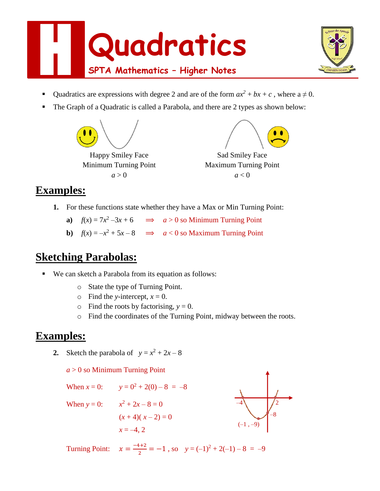



- Quadratics are expressions with degree 2 and are of the form  $ax^2 + bx + c$ , where  $a \ne 0$ .
- The Graph of a Quadratic is called a Parabola, and there are 2 types as shown below:



### **Examples:**

- **1.** For these functions state whether they have a Max or Min Turning Point:
	- **a**)  $f(x) = 7x^2 3x + 6$   $\implies$   $a > 0$  so Minimum Turning Point
	- **b**)  $f(x) = -x^2 + 5x 8$   $\implies a < 0$  so Maximum Turning Point

## **Sketching Parabolas:**

- We can sketch a Parabola from its equation as follows:
	- o State the type of Turning Point.
	- $\circ$  Find the *y*-intercept,  $x = 0$ .
	- $\circ$  Find the roots by factorising,  $y = 0$ .
	- o Find the coordinates of the Turning Point, midway between the roots.

–8

# **Examples:**

**2.** Sketch the parabola of  $y = x^2 + 2x - 8$ 

#### *a* > 0 so Minimum Turning Point



Turning Point:  $x = \frac{-4+2}{2}$  $\frac{y+2}{2} = -1$ , so  $y = (-1)^2 + 2(-1) - 8 = -9$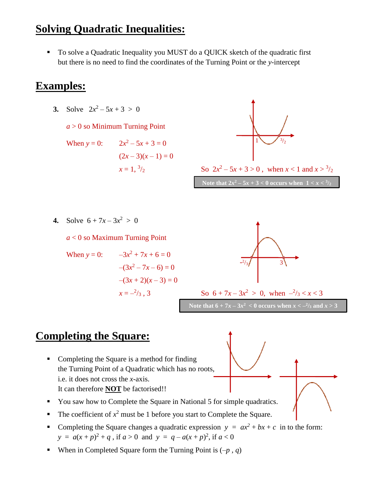## **Solving Quadratic Inequalities:**

■ To solve a Quadratic Inequality you MUST do a QUICK sketch of the quadratic first but there is no need to find the coordinates of the Turning Point or the *y*-intercept

## **Examples:**

**3.** Solve  $2x^2 - 5x + 3 > 0$ 

 $a > 0$  so Minimum Turning Point

When  $y = 0$ :  $x^2-5x+3=0$  $(2x-3)(x-1) = 0$  $x = 1, \frac{3}{2}$ 



 $\int_2$  So  $2x^2 - 5x + 3 > 0$ , when  $x < 1$  and  $x > \frac{3}{2}$ 

**Note that 2***x*<sup>2</sup> – 5*x* + 3 < 0 occurs when  $1 < x <$  <sup>3</sup>/<sub>2</sub>

**4.** Solve  $6 + 7x - 3x^2 > 0$ 

*a* < 0 so Maximum Turning Point

When y = 0: 
$$
-3x^2 + 7x + 6 = 0
$$

$$
-(3x^2 - 7x - 6) = 0
$$

$$
-(3x + 2)(x - 3) = 0
$$

$$
x = -\frac{2}{3}, 3
$$





# **Completing the Square:**

- Completing the Square is a method for finding the Turning Point of a Quadratic which has no roots, i.e. it does not cross the *x*-axis. It can therefore **NOT** be factorised!!
- You saw how to Complete the Square in National 5 for simple quadratics.
- The coefficient of  $x^2$  must be 1 before you start to Complete the Square.
- Completing the Square changes a quadratic expression  $y = ax^2 + bx + c$  in to the form: *y* =  $a(x+p)^2 + q$ , if  $a > 0$  and  $y = q - a(x+p)^2$ , if  $a < 0$
- When in Completed Square form the Turning Point is  $(-p, q)$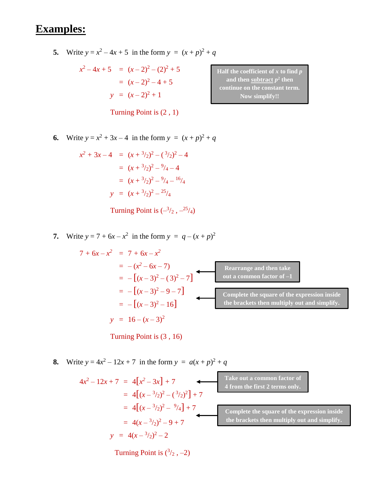# **Examples:**

**5.** Write  $y = x^2 - 4x + 5$  in the form  $y = (x + p)^2 + q$ 

$$
x^{2}-4x+5 = (x-2)^{2}-(2)^{2}+5
$$
  
=  $(x-2)^{2}-4+5$   

$$
y = (x-2)^{2}+1
$$

Turning Point is (2 , 1)

**Half the coefficient of** *x* **to find** *p* and then  $\frac{\text{subtract}}{p^2}$  then **continue on the constant term. Now simplify!!**

**6.** Write  $y = x^2 + 3x - 4$  in the form  $y = (x + p)^2 + q$ 

$$
x^{2} + 3x - 4 = (x + \frac{3}{2})^{2} - (\frac{3}{2})^{2} - 4
$$
  
=  $(x + \frac{3}{2})^{2} - \frac{9}{4} - 4$   
=  $(x + \frac{3}{2})^{2} - \frac{9}{4} - \frac{16}{4}$   
 $y = (x + \frac{3}{2})^{2} - \frac{25}{4}$ 

Turning Point is  $\left(-\frac{3}{2}, -\frac{25}{4}\right)$ 

**7.** Write  $y = 7 + 6x - x^2$  in the form  $y = q - (x + p)^2$ 

$$
7 + 6x - x2 = 7 + 6x - x2
$$
  
= -(x<sup>2</sup> - 6x - 7)  
= -[(x - 3)<sup>2</sup> - (3)<sup>2</sup> - 7]  
= -[(x - 3)<sup>2</sup> - 9 - 7]  
= -[(x - 3)<sup>2</sup> - 16]  
  
y = 16 - (x - 3)<sup>2</sup>  
Complete the square of the expression inside the brackets then multiply out and simplify.  
  
200

Turning Point is (3 , 16)

**8.** Write  $y = 4x^2 - 12x + 7$  in the form  $y = a(x+p)^2 + q$ 

$$
4x2-12x+7 = 4[x2-3x] + 7
$$
  
= 4[(x-<sup>3</sup>/<sub>2</sub>)<sup>2</sup> - (<sup>3</sup>/<sub>2</sub>)<sup>2</sup>] + 7  
= 4[(x-<sup>3</sup>/<sub>2</sub>)<sup>2</sup> - <sup>9</sup>/<sub>4</sub>] + 7  
= 4(x-<sup>3</sup>/<sub>2</sub>)<sup>2</sup> - 9 + 7  
y = 4(x-<sup>3</sup>/<sub>2</sub>)<sup>2</sup> - 2

Turning Point is  $(^3/2, -2)$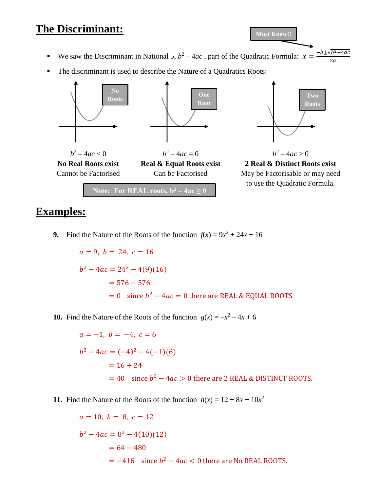## **The Discriminant:**

| <b>Must Know!!</b> |
|--------------------|
|                    |

- We saw the Discriminant in National 5,  $b^2 4ac$ , part of the Quadratic Formula:  $x = \frac{-b \pm \sqrt{b^2 4ac}}{2a}$  $2a$
- The discriminant is used to describe the Nature of a Quadratics Roots:



### **Examples:**

**9.** Find the Nature of the Roots of the function  $f(x) = 9x^2 + 24x + 16$ 

 $a = 9, b = 24, c = 16$  $b^2 - 4ac = 24^2 - 4(9)(16)$  $= 576 - 576$  $= 0$  since  $b^2 - 4ac = 0$  there are REAL & EQUAL ROOTS.

**10.** Find the Nature of the Roots of the function  $g(x) = -x^2 - 4x + 6$ 

 $a = -1, b = -4, c = 6$  $b^2 - 4ac = (-4)^2 - 4(-1)(6)$  $= 16 + 24$  $= 40$  since  $b^2 - 4ac > 0$  there are 2 REAL & DISTINCT ROOTS.

**11.** Find the Nature of the Roots of the function  $h(x) = 12 + 8x + 10x^2$ 

$$
a = 10, b = 8, c = 12
$$
  

$$
b2 - 4ac = 82 - 4(10)(12)
$$
  

$$
= 64 - 480
$$
  

$$
= -416 \text{ since } b2 - 4ac < 0 \text{ there are No REAL ROOTS.}
$$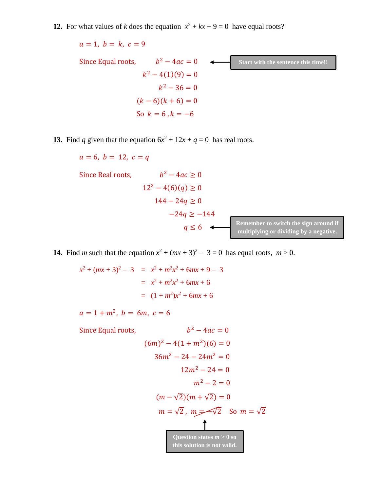**12.** For what values of *k* does the equation  $x^2 + kx + 9 = 0$  have equal roots?

 $a = 1, b = k, c = 9$ Since Equal roots,  $b^2 - 4ac = 0$  $k^2 - 4(1)(9) = 0$  $k^2 - 36 = 0$  $(k-6)(k+6) = 0$ So  $k = 6$ ,  $k = -6$ **Start with the sentence this time!!** 

**13.** Find *q* given that the equation  $6x^2 + 12x + q = 0$  has real roots.

Since Real roots,  $b^2 - 4ac \ge 0$  $12^2 - 4(6)(q) \ge 0$  $144 - 24q \ge 0$  $-24q \ge -144$  $q \leq 6$ 

 $a = 6, b = 12, c = q$ 

**Remember to switch the sign around if multiplying or dividing by a negative.**

**14.** Find *m* such that the equation  $x^2 + (mx + 3)^2 - 3 = 0$  has equal roots,  $m > 0$ .

 $x^2 + (mx + 3)^2 - 3 = x^2 + m^2x^2 + 6mx + 9 - 3$  $= x^2 + m^2x^2 + 6mx + 6$  $=(1 + m^2)x^2 + 6mx + 6$ 

 $a = 1 + m^2$ ,  $b = 6m$ ,  $c = 6$ 

Since Equal roots,  
\n
$$
b^2 - 4ac = 0
$$
\n
$$
(6m)^2 - 4(1 + m^2)(6) = 0
$$
\n
$$
36m^2 - 24 - 24m^2 = 0
$$
\n
$$
12m^2 - 24 = 0
$$
\n
$$
m^2 - 2 = 0
$$
\n
$$
(m - \sqrt{2})(m + \sqrt{2}) = 0
$$
\n
$$
m = \sqrt{2}, m = \sqrt{2}
$$
\n
$$
S \circ m = \sqrt{2}
$$
\nQuestion states  $m > 0$  so this solution is not valid.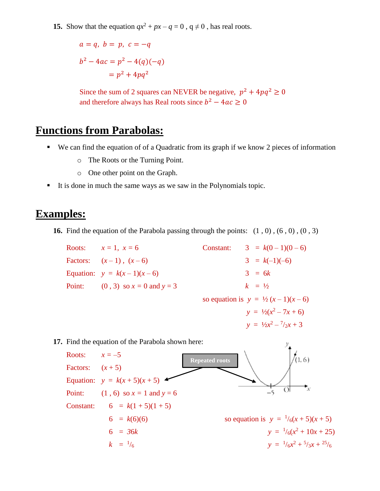**15.** Show that the equation  $qx^2 + px - q = 0$ ,  $q \neq 0$ , has real roots.

$$
a = q, b = p, c = -q
$$
  
 $b^2 - 4ac = p^2 - 4(q)(-q)$   
 $= p^2 + 4pq^2$ 

Since the sum of 2 squares can NEVER be negative,  $p^2 + 4pq^2 \ge 0$ and therefore always has Real roots since  $b^2 - 4ac \ge 0$ 

#### **Functions from Parabolas:**

- We can find the equation of of a Quadratic from its graph if we know 2 pieces of information
	- o The Roots or the Turning Point.
	- o One other point on the Graph.
- It is done in much the same ways as we saw in the Polynomials topic.

#### **Examples:**

**16.** Find the equation of the Parabola passing through the points:  $(1, 0)$ ,  $(6, 0)$ ,  $(0, 3)$ 

Roots:  $x = 1$ ,  $x = 6$  Constant:  $3 = k(0 - 1)(0 - 6)$ Factors:  $(x-1)$ ,  $(x-6)$  3 =  $k(-1)(-6)$ Equation:  $y = k(x-1)(x-6)$  3 = 6*k* Point: (0, 3) so  $x = 0$  and  $y = 3$  *k* =  $\frac{1}{2}$ so equation is  $y = \frac{1}{2}(x-1)(x-6)$  $y = \frac{1}{2}(x^2 - 7x + 6)$  $y = \frac{1}{2}x^2 - \frac{7}{2}x + 3$ 

**17.** Find the equation of the Parabola shown here:

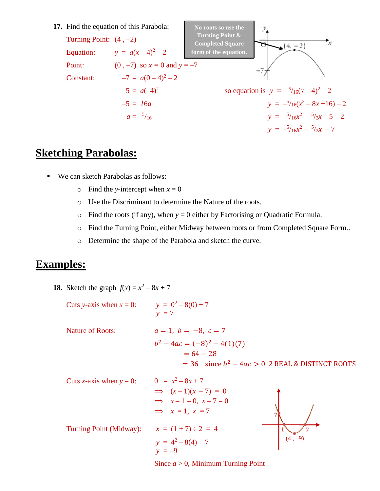

### **Sketching Parabolas:**

- We can sketch Parabolas as follows:
	- $\circ$  Find the *y*-intercept when  $x = 0$
	- o Use the Discriminant to determine the Nature of the roots.
	- $\circ$  Find the roots (if any), when  $y = 0$  either by Factorising or Quadratic Formula.
	- o Find the Turning Point, either Midway between roots or from Completed Square Form..
	- o Determine the shape of the Parabola and sketch the curve.

### **Examples:**

**18.** Sketch the graph  $f(x) = x^2 - 8x + 7$ 

Cuts *y*-axis when  $x = 0$ :  $y = 0^2 - 8(0) + 7$ *y =* 7 Nature of Roots:  $a = 1, b = -8, c = 7$  $b^2 - 4ac = (-8)^2 - 4(1)(7)$  $= 64 - 28$  $= 36$  since  $b^2 - 4ac > 0$  2 REAL & DISTINCT ROOTS

| Cuts <i>x</i> -axis when $y = 0$ : | $0 = x^2 - 8x + 7$        |           |
|------------------------------------|---------------------------|-----------|
|                                    | $\implies (x-1)(x-7) = 0$ |           |
|                                    | $\implies x-1=0, x-7=0$   |           |
|                                    | $\implies x = 1, x = 7$   |           |
| Turning Point (Midway):            | $x = (1 + 7) \div 2 = 4$  |           |
|                                    | $y = 4^2 - 8(4) + 7$      | $(4, -9)$ |
|                                    | $v = -9$                  |           |

Since *a* > 0, Minimum Turning Point